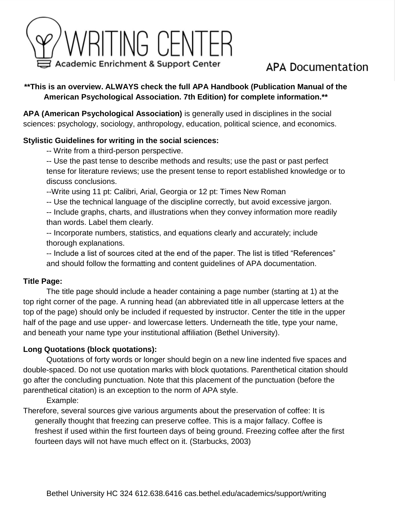

# APA Documentation

# **\*\*This is an overview. ALWAYS check the full APA Handbook (Publication Manual of the American Psychological Association. 7th Edition) for complete information.\*\***

**APA (American Psychological Association)** is generally used in disciplines in the social sciences: psychology, sociology, anthropology, education, political science, and economics.

# **Stylistic Guidelines for writing in the social sciences:**

-- Write from a third-person perspective.

-- Use the past tense to describe methods and results; use the past or past perfect tense for literature reviews; use the present tense to report established knowledge or to discuss conclusions.

--Write using 11 pt: Calibri, Arial, Georgia or 12 pt: Times New Roman

-- Use the technical language of the discipline correctly, but avoid excessive jargon.

-- Include graphs, charts, and illustrations when they convey information more readily than words. Label them clearly.

-- Incorporate numbers, statistics, and equations clearly and accurately; include thorough explanations.

-- Include a list of sources cited at the end of the paper. The list is titled "References" and should follow the formatting and content guidelines of APA documentation.

# **Title Page:**

The title page should include a header containing a page number (starting at 1) at the top right corner of the page. A running head (an abbreviated title in all uppercase letters at the top of the page) should only be included if requested by instructor. Center the title in the upper half of the page and use upper- and lowercase letters. Underneath the title, type your name, and beneath your name type your institutional affiliation (Bethel University).

# **Long Quotations (block quotations):**

Quotations of forty words or longer should begin on a new line indented five spaces and double-spaced. Do not use quotation marks with block quotations. Parenthetical citation should go after the concluding punctuation. Note that this placement of the punctuation (before the parenthetical citation) is an exception to the norm of APA style.

Example:

Therefore, several sources give various arguments about the preservation of coffee: It is generally thought that freezing can preserve coffee. This is a major fallacy. Coffee is freshest if used within the first fourteen days of being ground. Freezing coffee after the first fourteen days will not have much effect on it. (Starbucks, 2003)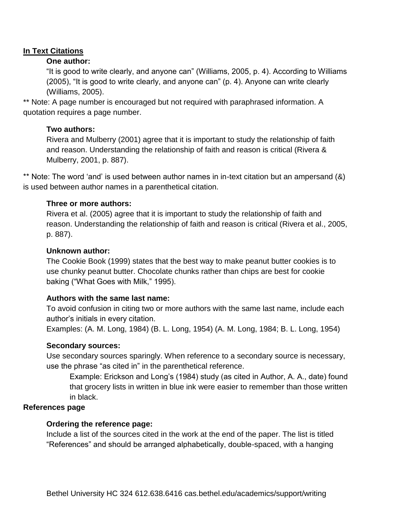# **In Text Citations**

# **One author:**

"It is good to write clearly, and anyone can" (Williams, 2005, p. 4). According to Williams (2005), "It is good to write clearly, and anyone can" (p. 4). Anyone can write clearly (Williams, 2005).

\*\* Note: A page number is encouraged but not required with paraphrased information. A quotation requires a page number.

# **Two authors:**

Rivera and Mulberry (2001) agree that it is important to study the relationship of faith and reason. Understanding the relationship of faith and reason is critical (Rivera & Mulberry, 2001, p. 887).

\*\* Note: The word 'and' is used between author names in in-text citation but an ampersand (&) is used between author names in a parenthetical citation.

# **Three or more authors:**

Rivera et al. (2005) agree that it is important to study the relationship of faith and reason. Understanding the relationship of faith and reason is critical (Rivera et al., 2005, p. 887).

# **Unknown author:**

The Cookie Book (1999) states that the best way to make peanut butter cookies is to use chunky peanut butter. Chocolate chunks rather than chips are best for cookie baking ("What Goes with Milk," 1995).

# **Authors with the same last name:**

To avoid confusion in citing two or more authors with the same last name, include each author's initials in every citation.

Examples: (A. M. Long, 1984) (B. L. Long, 1954) (A. M. Long, 1984; B. L. Long, 1954)

### **Secondary sources:**

Use secondary sources sparingly. When reference to a secondary source is necessary, use the phrase "as cited in" in the parenthetical reference.

Example: Erickson and Long's (1984) study (as cited in Author, A. A., date) found that grocery lists in written in blue ink were easier to remember than those written in black.

### **References page**

# **Ordering the reference page:**

Include a list of the sources cited in the work at the end of the paper. The list is titled "References" and should be arranged alphabetically, double-spaced, with a hanging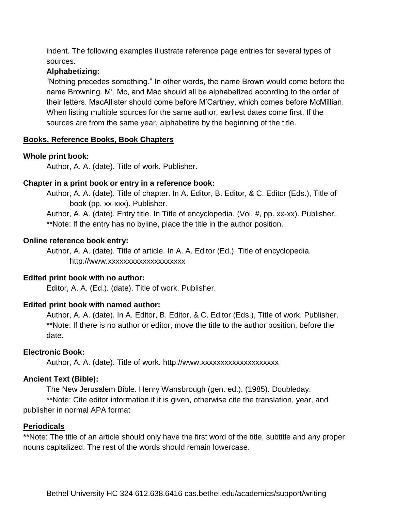indent. The following examples illustrate reference page entries for several types of sources.

# **Alphabetizing:**

"Nothing precedes something." In other words, the name Brown would come before the name Browning. M', Mc, and Mac should all be alphabetized according to the order of their letters. MacAllister should come before M'Cartney, which comes before McMillian. When listing multiple sources for the same author, earliest dates come first. If the sources are from the same year, alphabetize by the beginning of the title.

# **Books, Reference Books, Book Chapters**

# **Whole print book:**

Author, A. A. (date). Title of work. Publisher.

# **Chapter in a print book or entry in a reference book:**

Author, A. A. (date). Title of chapter. In A. Editor, B. Editor, & C. Editor (Eds.), Title of book (pp. xx-xxx). Publisher.

Author, A. A. (date). Entry title. In Title of encyclopedia. (Vol. #, pp. xx-xx). Publisher. \*\*Note: If the entry has no byline, place the title in the author position.

### **Online reference book entry:**

Author, A. A. (date). Title of article. In A. A. Editor (Ed.), Title of encyclopedia. http://www.xxxxxxxxxxxxxxxxxxxx

# **Edited print book with no author:**

Editor, A. A. (Ed.). (date). Title of work. Publisher.

# **Edited print book with named author:**

Author, A. A. (date). In A. Editor, B. Editor, & C. Editor (Eds.), Title of work. Publisher. \*\*Note: If there is no author or editor, move the title to the author position, before the date.

### **Electronic Book:**

Author, A. A. (date). Title of work. http://www.xxxxxxxxxxxxxxxxxxxx

# **Ancient Text (Bible):**

The New Jerusalem Bible. Henry Wansbrough (gen. ed.). (1985). Doubleday.

\*\*Note: Cite editor information if it is given, otherwise cite the translation, year, and publisher in normal APA format

### **Periodicals**

\*\*Note: The title of an article should only have the first word of the title, subtitle and any proper nouns capitalized. The rest of the words should remain lowercase.